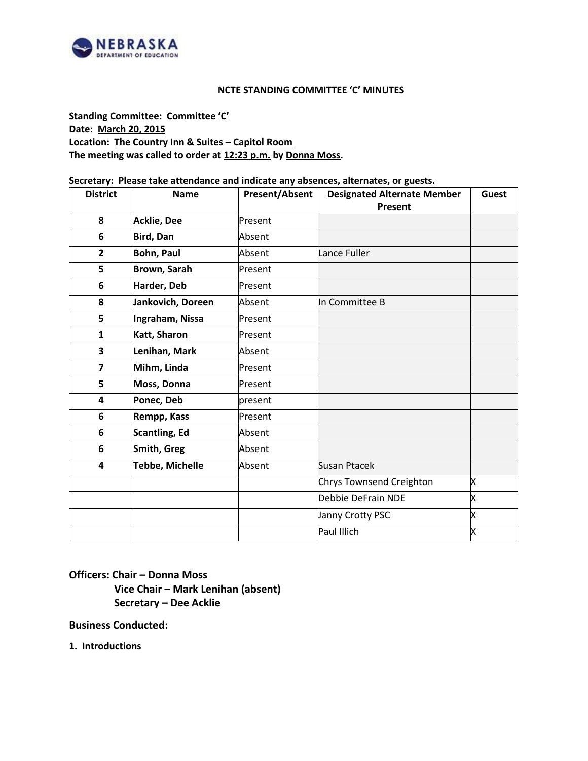

# **NCTE STANDING COMMITTEE 'C' MINUTES**

**Standing Committee: Committee 'C' Date**: **March 20, 2015 Location: The Country Inn & Suites – Capitol Room The meeting was called to order at 12:23 p.m. by Donna Moss.**

## **Secretary: Please take attendance and indicate any absences, alternates, or guests.**

| <b>District</b> | <b>Name</b>          | <b>Present/Absent</b> | <b>Designated Alternate Member</b> | <b>Guest</b> |
|-----------------|----------------------|-----------------------|------------------------------------|--------------|
|                 |                      |                       | Present                            |              |
| 8               | Acklie, Dee          | Present               |                                    |              |
| 6               | <b>Bird, Dan</b>     | Absent                |                                    |              |
| $\overline{2}$  | <b>Bohn, Paul</b>    | Absent                | Lance Fuller                       |              |
| 5               | Brown, Sarah         | Present               |                                    |              |
| 6               | Harder, Deb          | Present               |                                    |              |
| 8               | Jankovich, Doreen    | Absent                | In Committee B                     |              |
| 5               | Ingraham, Nissa      | Present               |                                    |              |
| $\mathbf{1}$    | Katt, Sharon         | Present               |                                    |              |
| 3               | Lenihan, Mark        | Absent                |                                    |              |
| $\overline{7}$  | Mihm, Linda          | Present               |                                    |              |
| 5               | Moss, Donna          | Present               |                                    |              |
| 4               | Ponec, Deb           | present               |                                    |              |
| 6               | Rempp, Kass          | Present               |                                    |              |
| 6               | <b>Scantling, Ed</b> | Absent                |                                    |              |
| 6               | Smith, Greg          | Absent                |                                    |              |
| 4               | Tebbe, Michelle      | Absent                | Susan Ptacek                       |              |
|                 |                      |                       | Chrys Townsend Creighton           | X            |
|                 |                      |                       | Debbie DeFrain NDE                 | X            |
|                 |                      |                       | Janny Crotty PSC                   | X            |
|                 |                      |                       | Paul Illich                        | X            |

**Officers: Chair – Donna Moss Vice Chair – Mark Lenihan (absent) Secretary – Dee Acklie**

**Business Conducted:**

**1. Introductions**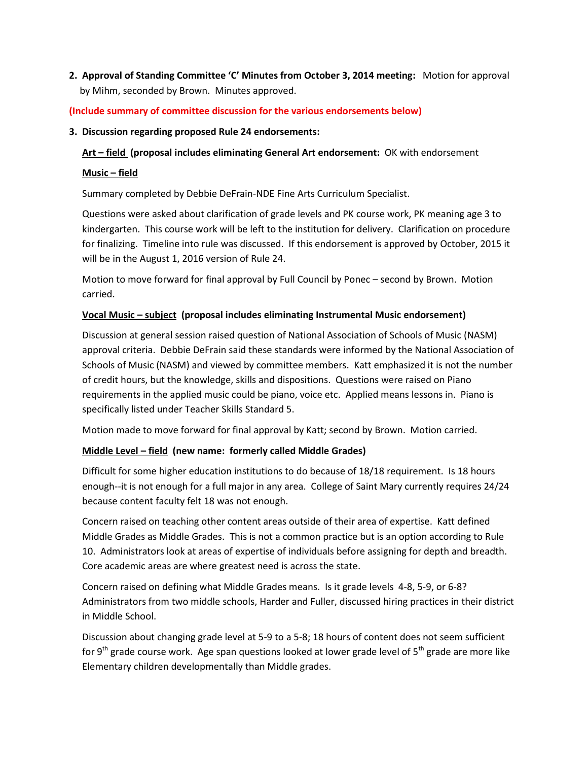**2. Approval of Standing Committee 'C' Minutes from October 3, 2014 meeting:** Motion for approval by Mihm, seconded by Brown. Minutes approved.

# **(Include summary of committee discussion for the various endorsements below)**

**3. Discussion regarding proposed Rule 24 endorsements:** 

**Art – field (proposal includes eliminating General Art endorsement:** OK with endorsement

# **Music – field**

Summary completed by Debbie DeFrain-NDE Fine Arts Curriculum Specialist.

Questions were asked about clarification of grade levels and PK course work, PK meaning age 3 to kindergarten. This course work will be left to the institution for delivery. Clarification on procedure for finalizing. Timeline into rule was discussed. If this endorsement is approved by October, 2015 it will be in the August 1, 2016 version of Rule 24.

Motion to move forward for final approval by Full Council by Ponec – second by Brown. Motion carried.

# **Vocal Music – subject (proposal includes eliminating Instrumental Music endorsement)**

Discussion at general session raised question of National Association of Schools of Music (NASM) approval criteria. Debbie DeFrain said these standards were informed by the National Association of Schools of Music (NASM) and viewed by committee members. Katt emphasized it is not the number of credit hours, but the knowledge, skills and dispositions. Questions were raised on Piano requirements in the applied music could be piano, voice etc. Applied means lessons in. Piano is specifically listed under Teacher Skills Standard 5.

Motion made to move forward for final approval by Katt; second by Brown. Motion carried.

# **Middle Level – field (new name: formerly called Middle Grades)**

Difficult for some higher education institutions to do because of 18/18 requirement. Is 18 hours enough--it is not enough for a full major in any area. College of Saint Mary currently requires 24/24 because content faculty felt 18 was not enough.

Concern raised on teaching other content areas outside of their area of expertise. Katt defined Middle Grades as Middle Grades. This is not a common practice but is an option according to Rule 10. Administrators look at areas of expertise of individuals before assigning for depth and breadth. Core academic areas are where greatest need is across the state.

Concern raised on defining what Middle Grades means. Is it grade levels 4-8, 5-9, or 6-8? Administrators from two middle schools, Harder and Fuller, discussed hiring practices in their district in Middle School.

Discussion about changing grade level at 5-9 to a 5-8; 18 hours of content does not seem sufficient for 9<sup>th</sup> grade course work. Age span questions looked at lower grade level of 5<sup>th</sup> grade are more like Elementary children developmentally than Middle grades.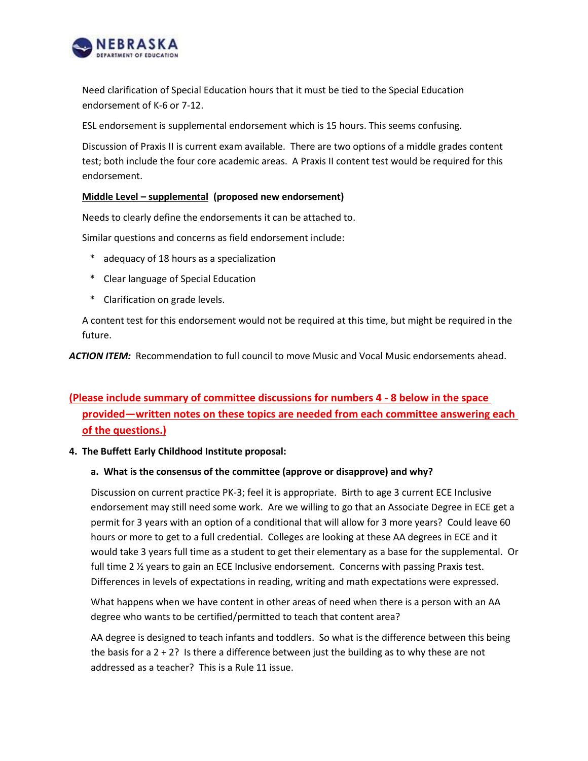

Need clarification of Special Education hours that it must be tied to the Special Education endorsement of K-6 or 7-12.

ESL endorsement is supplemental endorsement which is 15 hours. This seems confusing.

Discussion of Praxis II is current exam available. There are two options of a middle grades content test; both include the four core academic areas. A Praxis II content test would be required for this endorsement.

## **Middle Level – supplemental (proposed new endorsement)**

Needs to clearly define the endorsements it can be attached to.

Similar questions and concerns as field endorsement include:

- \* adequacy of 18 hours as a specialization
- \* Clear language of Special Education
- \* Clarification on grade levels.

A content test for this endorsement would not be required at this time, but might be required in the future.

*ACTION ITEM:* Recommendation to full council to move Music and Vocal Music endorsements ahead.

# **(Please include summary of committee discussions for numbers 4 - 8 below in the space provided—written notes on these topics are needed from each committee answering each of the questions.)**

#### **4. The Buffett Early Childhood Institute proposal:**

#### **a. What is the consensus of the committee (approve or disapprove) and why?**

Discussion on current practice PK-3; feel it is appropriate. Birth to age 3 current ECE Inclusive endorsement may still need some work. Are we willing to go that an Associate Degree in ECE get a permit for 3 years with an option of a conditional that will allow for 3 more years? Could leave 60 hours or more to get to a full credential. Colleges are looking at these AA degrees in ECE and it would take 3 years full time as a student to get their elementary as a base for the supplemental. Or full time 2 % years to gain an ECE Inclusive endorsement. Concerns with passing Praxis test. Differences in levels of expectations in reading, writing and math expectations were expressed.

What happens when we have content in other areas of need when there is a person with an AA degree who wants to be certified/permitted to teach that content area?

AA degree is designed to teach infants and toddlers. So what is the difference between this being the basis for a  $2 + 2$ ? Is there a difference between just the building as to why these are not addressed as a teacher? This is a Rule 11 issue.